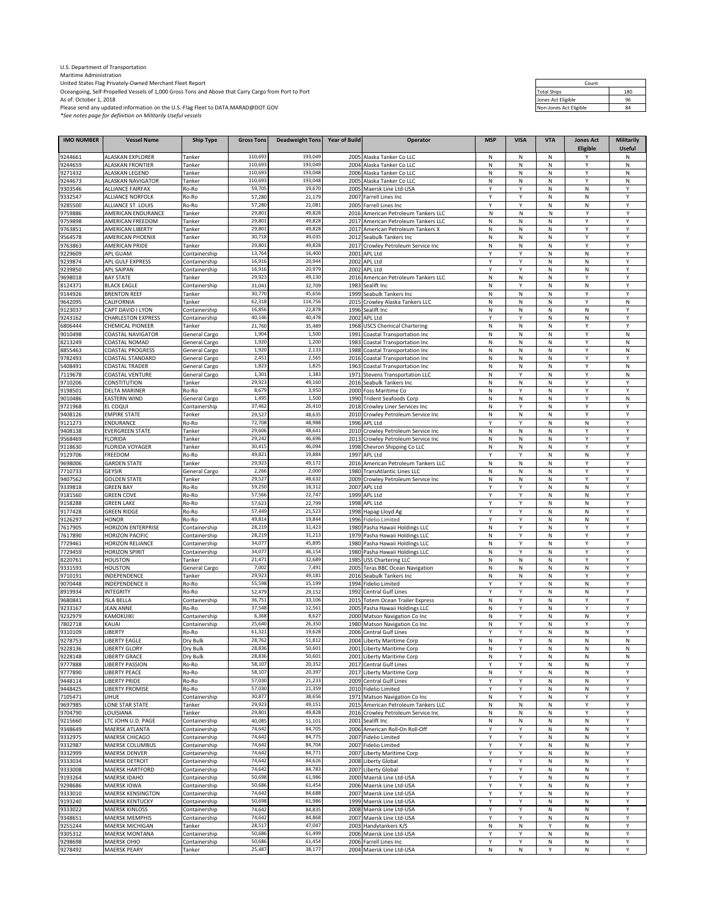U.S. Department of Transportation

Maritime Administration<br>Oceangoing, Self-Propelled Vessels of 1,000 Gross Tons and Above that Carry Cargo from Port to Port<br>As of: October 1, 2018 Propelled Vessels of 1,000 Gross Tons and Above that Carry Cargo from Port

*\*See notes page for definition on Militarily Useful vessels*

| Count                  |     |  |  |  |  |  |  |
|------------------------|-----|--|--|--|--|--|--|
| <b>Total Ships</b>     | 180 |  |  |  |  |  |  |
| Jones Act Eligible     | 96  |  |  |  |  |  |  |
| Non-Jones Act Eligible | 84  |  |  |  |  |  |  |

| <b>IMO NUMBER</b>  | <b>Vessel Name</b>                                | <b>Ship Type</b>               | <b>Gross Tons</b>  | <b>Deadweight Tons</b> | <b>Year of Build</b> | Operator                                                        | <b>MSP</b> | <b>VISA</b>            | <b>VTA</b> | <b>Jones Act</b> | <b>Militarily</b> |
|--------------------|---------------------------------------------------|--------------------------------|--------------------|------------------------|----------------------|-----------------------------------------------------------------|------------|------------------------|------------|------------------|-------------------|
|                    |                                                   |                                |                    |                        |                      |                                                                 |            |                        |            | Eligible         | <b>Useful</b>     |
| 9244661<br>9244659 | ALASKAN EXPLORER<br><b>ALASKAN FRONTIER</b>       | Tanker<br>Tanker               | 110,693<br>110,693 | 193,049<br>193,049     |                      | 2005 Alaska Tanker Co LLC<br>2004 Alaska Tanker Co LLC          | Ν<br>Ν     | N<br>N                 | Ν<br>N     | Y<br>Υ           | Ν<br>N            |
| 9271432            | ALASKAN LEGEND                                    | Tanker                         | 110,693            | 193,048                | 2006                 | Alaska Tanker Co LLC                                            | N          | N                      | N          | Υ                | Ν                 |
| 9244673            | ALASKAN NAVIGATOR                                 | Tanker                         | 110,693            | 193,048                | 2005                 | Alaska Tanker Co LLC                                            | Ν          | ${\sf N}$              | N          | Y                | N                 |
| 9303546<br>9332547 | ALLIANCE FAIRFAX                                  | Ro-Ro                          | 59,705<br>57,280   | 19,670<br>21,179       | 2005                 | Maersk Line Ltd-USA                                             | Υ<br>Υ     | Y<br>Y                 | N<br>N     | N<br>N           | Y<br>Y            |
| 9285500            | ALLIANCE NORFOLK<br>ALLIANCE ST. LOUIS            | Ro-Ro<br>Ro-Ro                 | 57,280             | 21,081                 | 2005                 | 2007 Farrell Lines Inc<br>Farrell Lines Inc                     | Y          | Y                      | Ν          | N                | Y                 |
| 9759886            | AMERICAN ENDURANCE                                | Tanker                         | 29,801             | 49,828                 | 2016                 | American Petroleum Tankers LLC                                  | Ν          | N                      | Ν          | Υ                | Υ                 |
| 9759898            | AMERICAN FREEDOM                                  | Tanker                         | 29,801             | 49,828                 | 2017                 | American Petroleum Tankers LLC                                  | N          | N                      | N          | Y                | Y                 |
| 9763851<br>9564578 | AMERICAN LIBERTY<br><b>AMERICAN PHOENIX</b>       | Tanker                         | 29,801<br>30,718   | 49,828<br>49,035       | 2017<br>2012         | American Petroleum Tankers X<br>Seabulk Tankers Inc             | Ν<br>Ν     | N<br>${\sf N}$         | Ν<br>N     | Υ<br>Υ           | Y<br>Υ            |
| 9763863            | AMERICAN PRIDE                                    | Tanker<br>Tanker               | 29,801             | 49,828                 | 2017                 | Crowley Petroleum Service Inc                                   | Ν          | ${\sf N}$              | N          | Y                | Y                 |
| 9229609            | APL GUAM                                          | Containership                  | 13,764             | 16,400                 | 2001                 | APL Ltd                                                         | Y          | Y                      | N          | N                | Y                 |
| 9239874            | APL GULF EXPRESS                                  | Containership                  | 16,916             | 20,944                 |                      | 2002 APL Ltd                                                    | Υ          | Y                      | Ν          | N                | Υ                 |
| 9239850<br>9698018 | <b>APL SAIPAN</b><br><b>BAY STATE</b>             | Containership<br>Tanker        | 16,916<br>29,923   | 20,979<br>49,130       | 2002<br>2016         | APL Ltd<br>American Petroleum Tankers LLC                       | Υ<br>N     | Y<br>N                 | N<br>N     | N<br>Y           | Y<br>Y            |
| 8124371            | <b>BLACK EAGLE</b>                                | Containership                  | 31,041             | 32,709                 |                      | 1983 Sealift Inc                                                | Ν          | Y                      | N          | N                | Y                 |
| 9144926            | <b>BRENTON REEF</b>                               | Tanker                         | 30,770             | 45,656                 | 1999                 | Seabulk Tankers Inc                                             | Ν          | ${\sf N}$              | Ν          | Y                | Y                 |
| 9642095            | CALIFORNIA<br>CAPT DAVID I LYON                   | Tanker                         | 62,318<br>16,856   | 114,756<br>22,878      | 2015                 | Crowley Alaska Tankers LLC                                      | Ν          | N                      | N          | Υ<br>N           | ${\sf N}$<br>Υ    |
| 9123037<br>9243162 | <b>CHARLESTON EXPRESS</b>                         | Containership<br>Containership | 40,146             | 40,478                 |                      | 1996 Sealift Inc<br>2002 APL Ltd                                | N<br>Υ     | ${\sf N}$<br>Y         | N<br>N     | N                | Υ                 |
| 6806444            | CHEMICAL PIONEER                                  | Tanker                         | 21,760             | 35,489                 | 1968                 | <b>USCS Chemical Chartering</b>                                 | Ν          | N                      | N          | Υ                | Υ                 |
| 9010498            | <b>COASTAL NAVIGATOR</b>                          | General Cargo                  | 1,904              | 1,500                  | 1991                 | Coastal Transportation Inc                                      | N          | N                      | N          | Υ                | $\mathsf N$       |
| 8213249            | COASTAL NOMAD                                     | General Cargo                  | 1,920<br>1,920     | 1,200<br>2,133         | 1983                 | Coastal Transportation Inc                                      | Ν<br>Ν     | ${\sf N}$              | N<br>N     | Υ<br>Υ           | N<br>N            |
| 8855463<br>9782493 | COASTAL PROGRESS<br>COASTAL STANDARD              | General Cargo<br>General Cargo | 2,451              | 2,565                  | 1988<br>2016         | Coastal Transportation Inc<br><b>Coastal Transportation Inc</b> | Ν          | N<br>N                 | Ν          | Υ                | Y                 |
| 5408491            | <b>COASTAL TRADER</b>                             | General Cargo                  | 1,823              | 1,825                  | 1963                 | Coastal Transportation Inc                                      | Ν          | N                      | N          | Υ                | N                 |
| 7119678            | <b>COASTAL VENTURE</b>                            | General Cargo                  | 1,301              | 1,383                  | 1971                 | <b>Stevens Transportation LLC</b>                               | Ν          | Y                      | N          | Υ                | ${\sf N}$         |
| 9710206<br>9198501 | CONSTITUTION<br><b>DELTA MARINER</b>              | Tanker<br>Ro-Ro                | 29,923<br>8,679    | 49,160<br>3,950        | 2016                 | Seabulk Tankers Inc.<br>2000 Foss Maritime Co                   | Ν<br>Ν     | ${\sf N}$<br>Y         | N<br>N     | Υ<br>Y           | Y<br>Y            |
| 9010486            | <b>EASTERN WIND</b>                               | General Cargo                  | 1,495              | 1,500                  |                      | 1990 Trident Seafoods Corp                                      | N          | ${\sf N}$              | N          | Y                | N                 |
| 9721968            | EL COQUI                                          | Containership                  | 37,462             | 26,410                 | 2018                 | Crowley Liner Services Inc                                      | Ν          | Y                      | N          | Y                | Υ                 |
| 9408126            | <b>EMPIRE STATE</b>                               | Tanker                         | 29,527             | 48,635                 | 2010                 | Crowley Petroleum Service Inc                                   | Ν          | N                      | Ν          | Y                | Υ                 |
| 9121273<br>9408138 | ENDURANCE<br><b>EVERGREEN STATE</b>               | Ro-Ro<br>Tanker                | 72,708<br>29,606   | 48,988<br>48,641       | 1996<br>2010         | APL Ltd<br>Crowley Petroleum Service Inc                        | Y<br>Ν     | Y<br>N                 | N<br>Ν     | N<br>Υ           | Y<br>Y            |
| 9568469            | <b>FLORIDA</b>                                    | Tanker                         | 29,242             | 46,696                 | 2013                 | Crowley Petroleum Service Inc                                   | Ν          | ${\sf N}$              | N          | Υ                | Υ                 |
| 9118630            | <b>FLORIDA VOYAGER</b>                            | Tanker                         | 30,415             | 46,094                 | 1998                 | Chevron Shipping Co LLC                                         | N          | ${\sf N}$              | N          | Υ                | Y                 |
| 9129706            | FREEDOM                                           | Ro-Ro                          | 49,821             | 19,884                 | 1997                 | APL Ltd                                                         | Y          | Y                      | N          | N                | Y                 |
| 9698006<br>7710733 | <b>GARDEN STATE</b><br><b>GEYSIR</b>              | Tanker<br>General Cargo        | 29,923<br>2,266    | 49,172<br>2,000        | 2016                 | American Petroleum Tankers LLC<br>1980 TransAtlantic Lines LLC  | Ν<br>Ν     | ${\sf N}$<br>${\sf N}$ | Ν<br>N     | Υ<br>Υ           | Υ<br>Υ            |
| 9407562            | <b>GOLDEN STATE</b>                               | Tanker                         | 29,527             | 48,632                 | 2009                 | Crowley Petroleum Service Inc                                   | Ν          | N                      | N          | Υ                | Y                 |
| 9339818            | <b>GREEN BAY</b>                                  | Ro-Ro                          | 59,250             | 18,312                 | 2007                 | APL Ltd                                                         | Υ          | Y                      | N          | N                | Y                 |
| 9181560            | <b>GREEN COVE</b>                                 | Ro-Ro                          | 57,566             | 22,747                 | 1999                 | APL Ltd                                                         | Υ          | Y                      | N          | N                | Y                 |
| 9158288<br>9177428 | <b>GREEN LAKE</b><br><b>GREEN RIDGE</b>           | Ro-Ro<br>Ro-Ro                 | 57,623<br>57,449   | 22,799<br>21,523       | 1998                 | APL Ltd<br>1998 Hapag-Lloyd Ag                                  | Υ<br>Υ     | Y<br>Y                 | Ν<br>N     | N<br>N           | Y<br>Υ            |
| 9126297            | <b>HONOR</b>                                      | Ro-Ro                          | 49,814             | 19,844                 |                      | 1996 Fidelio Limited                                            | Υ          | Y                      | N          | N                | Υ                 |
| 7617905            | <b>HORIZON ENTERPRISE</b>                         | Containership                  | 28,219             | 31,423                 | 1980                 | Pasha Hawaii Holdings LLC                                       | Ν          | Y                      | N          | Υ                | Υ                 |
| 7617890<br>7729461 | <b>HORIZON PACIFIC</b><br><b>HORIZON RELIANCE</b> | Containership                  | 28,219<br>34,077   | 31,213<br>45,895       |                      | 1979 Pasha Hawaii Holdings LLC                                  | N<br>Ν     | Y<br>Y                 | N          | Υ<br>Υ           | Y<br>Y            |
| 7729459            | <b>HORIZON SPIRIT</b>                             | Containership<br>Containership | 34,077             | 46,154                 | 1980                 | 1980 Pasha Hawaii Holdings LLC<br>Pasha Hawaii Holdings LLC     | N          | Y                      | N<br>N     | Υ                | Υ                 |
| 8220761            | <b>HOUSTON</b>                                    | Tanker                         | 21,471             | 32,689                 | 1985                 | <b>USS Chartering LLC</b>                                       | Ν          | ${\sf N}$              | N          | Υ                | Υ                 |
| 9331593            | <b>HOUSTON</b>                                    | General Cargo                  | 7,002              | 7,491                  | 2005                 | <b>Teras BBC Ocean Navigation</b>                               | Ν          | N                      | N          | N                | Υ                 |
| 9710191<br>9070448 | INDEPENDENCE<br><b>INDEPENDENCE II</b>            | Tanker<br>Ro-Ro                | 29,923<br>55,598   | 49,181<br>15,199       |                      | 2016 Seabulk Tankers Inc<br>1994 Fidelio Limited                | Ν<br>Υ     | ${\sf N}$<br>Y         | N<br>N     | Υ<br>N           | Υ<br>Υ            |
| 8919934            | INTEGRITY                                         | Ro-Ro                          | 52,479             | 29,152                 | 1992                 | Central Gulf Lines                                              | Y          | Y                      | N          | N                | Υ                 |
| 9680841            | <b>ISLA BELLA</b>                                 | Containership                  | 36,751             | 33,106                 | 2015                 | Totem Ocean Trailer Express                                     | N          | Y                      | N          | Υ                | Υ                 |
| 9233167            | <b>JEAN ANNE</b>                                  | Ro-Ro                          | 37,548             | 12,561                 | 2005                 | Pasha Hawaii Holdings LLC                                       | Ν          | Y                      | N          | Y                | Y                 |
| 9232979<br>7802718 | KAMOKUIKI<br>KAUAI                                | Containership<br>Containership | 6,368<br>25,640    | 8,627<br>26,350        | 2000<br>1980         | Matson Navigation Co Inc<br>Matson Navigation Co Inc            | Ν<br>N     | Υ<br>Y                 | Ν<br>N     | Ν<br>Υ           | Υ<br>Υ            |
| 9310109            | <b>IBERTY</b>                                     | Ro-Ro                          | 61,321             | 19,628                 | 2006                 | <b>Central Gulf Lines</b>                                       |            | Y                      | Ν          | N                | Y                 |
| 9278753            | <b>IBERTY EAGLE</b>                               | Dry Bulk                       | 28,762             | 51,812                 | 2004                 | Liberty Maritime Corp                                           | Ν          | Υ                      | Ν          | N                | N                 |
| 9228136            | <b>LIBERTY GLORY</b>                              | Dry Bulk                       | 28,836             | 50,601                 | 2001                 | Liberty Maritime Corp                                           | Ν          | Y                      | N          | N                | N                 |
| 9228148<br>9777888 | <b>LIBERTY GRACE</b><br><b>LIBERTY PASSION</b>    | Dry Bulk<br>Ro-Ro              | 28,836<br>58,107   | 50,601<br>20,352       |                      | 2001 Liberty Maritime Corp<br>2017 Central Gulf Lines           | Ν<br>Y     | Y<br>Υ                 | Ν<br>N     | Ν<br>Ν           | Ν<br>Υ            |
| 9777890            | <b>LIBERTY PEACE</b>                              | Ro-Ro                          | 58,107             | 20,397                 |                      | 2017 Liberty Maritime Corp                                      | N          | Y                      | N          | N                | Υ                 |
| 9448114            | LIBERTY PRIDE                                     | Ro-Ro                          | 57,030             | 21,233                 | 2009                 | <b>Central Gulf Lines</b>                                       | Υ          | Y                      | N          | N                | Υ                 |
| 9448425            | <b>LIBERTY PROMISE</b>                            | Ro-Ro                          | 57,030<br>30,877   | 21,359<br>38,656       | 1971                 | 2010 Fidelio Limited                                            | Υ          | Y<br>Y                 | Ν          | N<br>Υ           | Υ<br>Υ            |
| 7105471<br>9697985 | LIHUE<br>LONE STAR STATE                          | Containership<br>Tanker        | 29,923             | 49,151                 | 2015                 | Matson Navigation Co Inc<br>American Petroleum Tankers LLC      | N<br>Ν     | N                      | N<br>Ν     | Υ                | Υ                 |
| 9704790            | LOUISIANA                                         | Tanker                         | 29,801             | 49,828                 |                      | 2016 Crowley Petroleum Service Inc                              | Ν          | ${\sf N}$              | Ν          | Υ                | Υ                 |
| 9215660            | LTC JOHN U.D. PAGE                                | Containership                  | 40,085             | 51,101                 |                      | 2001 Sealift Inc                                                | N          | ${\sf N}$              | N          | N                | Y                 |
| 9348649<br>9332975 | MAERSK ATLANTA<br>MAERSK CHICAGO                  | Containership<br>Containership | 74,642<br>74,642   | 84,705<br>84,775       | 2006                 | American Roll-On Roll-Off<br>2007 Fidelio Limited               | Υ<br>Υ     | Y<br>Y                 | Ν<br>Ν     | Ν<br>N           | Υ<br>Υ            |
| 9332987            | <b>MAERSK COLUMBUS</b>                            | Containership                  | 74,642             | 84,704                 |                      | 2007 Fidelio Limited                                            | Υ          | Y                      | Ν          | N                | Υ                 |
| 9332999            | MAERSK DENVER                                     | Containership                  | 74,642             | 84,771                 | 2007                 | Liberty Maritime Corp                                           | Υ          | Y                      | N          | N                | Υ                 |
| 9333034            | <b>MAERSK DETROIT</b>                             | Containership                  | 74,642             | 84,626                 | 2008                 | Liberty Global                                                  | Υ          | Y                      | Ν          | N                | Υ                 |
| 9333008<br>9193264 | <b>MAERSK HARTFORD</b><br><b>MAERSK IDAHO</b>     | Containership<br>Containership | 74,642<br>50,698   | 84,783<br>61,986       | 2007                 | Liberty Global<br>2000 Maersk Line Ltd-USA                      | Υ<br>Υ     | Υ<br>Y                 | N<br>N     | N<br>Ν           | Υ<br>Υ            |
| 9298686            | <b>MAERSK IOWA</b>                                | Containership                  | 50,686             | 61,454                 |                      | 2006 Maersk Line Ltd-USA                                        | Υ          | Y                      | N          | N                | Υ                 |
| 9333010            | <b>MAERSK KENSINGTON</b>                          | Containership                  | 74,642             | 84,688                 | 2007                 | Maersk Line Ltd-USA                                             | Υ          | Y                      | N          | N                | Υ                 |
| 9193240            | <b>MAERSK KENTUCKY</b>                            | Containership                  | 50,698             | 61,986                 |                      | 1999 Maersk Line Ltd-USA                                        | Υ          | Y                      | Ν          | N                | Υ                 |
| 9333022<br>9348651 | <b>MAERSK KINLOSS</b><br><b>MAERSK MEMPHIS</b>    | Containership<br>Containership | 74,642<br>74,642   | 84,835<br>84,868       | 2008                 | Maersk Line Ltd-USA<br>2007 Maersk Line Ltd-USA                 | Υ<br>Y     | Y<br>Υ                 | Ν<br>Ν     | N<br>Ν           | Υ<br>Υ            |
| 9255244            | MAERSK MICHIGAN                                   | Tanker                         | 28,517             | 47,047                 |                      | 2003 Handytankers K/S                                           | Ν          | ${\sf N}$              | Y          | N                | Υ                 |
| 9305312            | <b>MAERSK MONTANA</b>                             | Containership                  | 50,686             | 61,499                 |                      | 2006 Maersk Line Ltd-USA                                        | Υ          | Y                      | N          | N                | Υ                 |
| 9298698            | MAERSK OHIO                                       | Containership                  | 50,686             | 61,454                 |                      | 2006 Farrell Lines Inc                                          | Υ          | Y                      | N          | N                | Υ                 |
| 9278492            | <b>MAERSK PEARY</b>                               | Tanker                         | 25,487             | 38,177                 |                      | 2004 Maersk Line Ltd-USA                                        | Ν          | ${\sf N}$              | Υ          | N                | Υ                 |